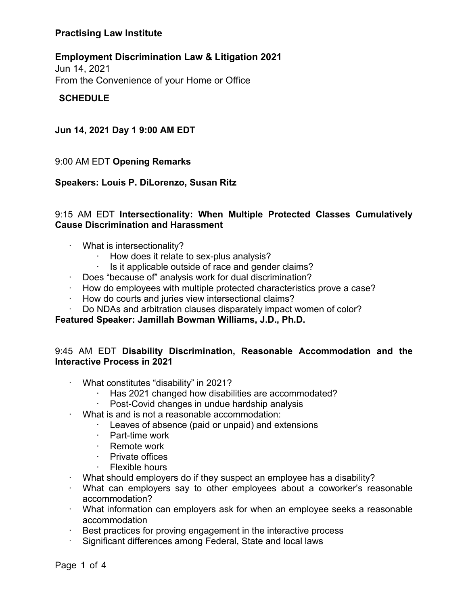## **Employment Discrimination Law & Litigation 2021**

Jun 14, 2021 From the Convenience of your Home or Office

## **SCHEDULE**

## **Jun 14, 2021 Day 1 9:00 AM EDT**

#### 9:00 AM EDT **Opening Remarks**

#### **Speakers: Louis P. DiLorenzo, Susan Ritz**

## 9:15 AM EDT **Intersectionality: When Multiple Protected Classes Cumulatively Cause Discrimination and Harassment**

- · What is intersectionality?
	- How does it relate to sex-plus analysis?
	- Is it applicable outside of race and gender claims?
- · Does "because of" analysis work for dual discrimination?
- · How do employees with multiple protected characteristics prove a case?
- How do courts and juries view intersectional claims?
- Do NDAs and arbitration clauses disparately impact women of color?

#### **Featured Speaker: Jamillah Bowman Williams, J.D., Ph.D.**

## 9:45 AM EDT **Disability Discrimination, Reasonable Accommodation and the Interactive Process in 2021**

- · What constitutes "disability" in 2021?
	- · Has 2021 changed how disabilities are accommodated?
	- Post-Covid changes in undue hardship analysis
- · What is and is not a reasonable accommodation:
	- · Leaves of absence (paid or unpaid) and extensions
		- · Part-time work
		- · Remote work<br>· Private offices
		- Private offices
		- · Flexible hours
- · What should employers do if they suspect an employee has a disability?
- · What can employers say to other employees about a coworker's reasonable accommodation?
- · What information can employers ask for when an employee seeks a reasonable accommodation
- Best practices for proving engagement in the interactive process
- Significant differences among Federal, State and local laws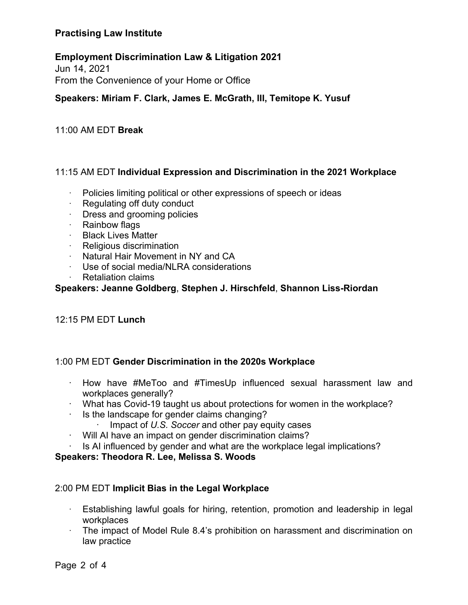## **Employment Discrimination Law & Litigation 2021**

Jun 14, 2021 From the Convenience of your Home or Office

## **Speakers: Miriam F. Clark, James E. McGrath, III, Temitope K. Yusuf**

#### 11:00 AM EDT **Break**

## 11:15 AM EDT **Individual Expression and Discrimination in the 2021 Workplace**

- Policies limiting political or other expressions of speech or ideas
- $\cdot$  Regulating off duty conduct
- · Dress and grooming policies
- · Rainbow flags
- · Black Lives Matter
- · Religious discrimination
- · Natural Hair Movement in NY and CA
- Use of social media/NLRA considerations
- **Retaliation claims**

#### **Speakers: Jeanne Goldberg**, **Stephen J. Hirschfeld**, **Shannon Liss-Riordan**

## 12:15 PM EDT **Lunch**

## 1:00 PM EDT **Gender Discrimination in the 2020s Workplace**

- · How have #MeToo and #TimesUp influenced sexual harassment law and workplaces generally?
- · What has Covid-19 taught us about protections for women in the workplace?
- · Is the landscape for gender claims changing?
	- Impact of U.S. Soccer and other pay equity cases
- · Will AI have an impact on gender discrimination claims?
- Is AI influenced by gender and what are the workplace legal implications?

#### **Speakers: Theodora R. Lee, Melissa S. Woods**

## 2:00 PM EDT **Implicit Bias in the Legal Workplace**

- · Establishing lawful goals for hiring, retention, promotion and leadership in legal workplaces
- · The impact of Model Rule 8.4's prohibition on harassment and discrimination on law practice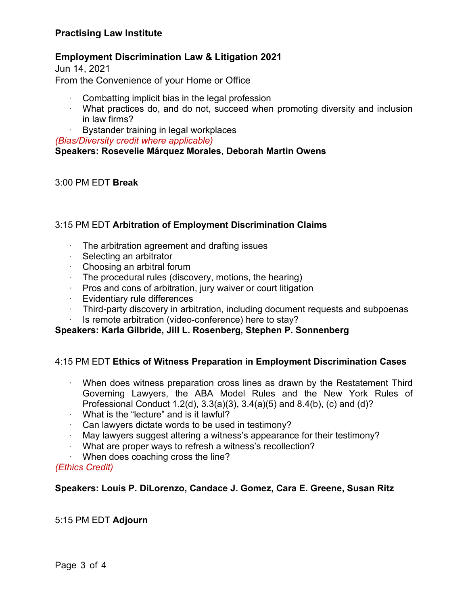## **Employment Discrimination Law & Litigation 2021**

Jun 14, 2021 From the Convenience of your Home or Office

- Combatting implicit bias in the legal profession
- · What practices do, and do not, succeed when promoting diversity and inclusion in law firms?
- Bystander training in legal workplaces

*(Bias/Diversity credit where applicable)*

## **Speakers: Rosevelie Márquez Morales**, **Deborah Martin Owens**

## 3:00 PM EDT **Break**

## 3:15 PM EDT **Arbitration of Employment Discrimination Claims**

- The arbitration agreement and drafting issues
- · Selecting an arbitrator
- · Choosing an arbitral forum
- $\cdot$  The procedural rules (discovery, motions, the hearing)
- · Pros and cons of arbitration, jury waiver or court litigation
- · Evidentiary rule differences
- · Third-party discovery in arbitration, including document requests and subpoenas
- Is remote arbitration (video-conference) here to stay?

## **Speakers: Karla Gilbride, Jill L. Rosenberg, Stephen P. Sonnenberg**

## 4:15 PM EDT **Ethics of Witness Preparation in Employment Discrimination Cases**

- When does witness preparation cross lines as drawn by the Restatement Third Governing Lawyers, the ABA Model Rules and the New York Rules of Professional Conduct 1.2(d), 3.3(a)(3), 3.4(a)(5) and 8.4(b), (c) and (d)?
- $\cdot$  What is the "lecture" and is it lawful?
- $\cdot$  Can lawyers dictate words to be used in testimony?
- · May lawyers suggest altering a witness's appearance for their testimony?
- What are proper ways to refresh a witness's recollection?
- When does coaching cross the line?

#### *(Ethics Credit)*

## **Speakers: Louis P. DiLorenzo, Candace J. Gomez, Cara E. Greene, Susan Ritz**

## 5:15 PM EDT **Adjourn**